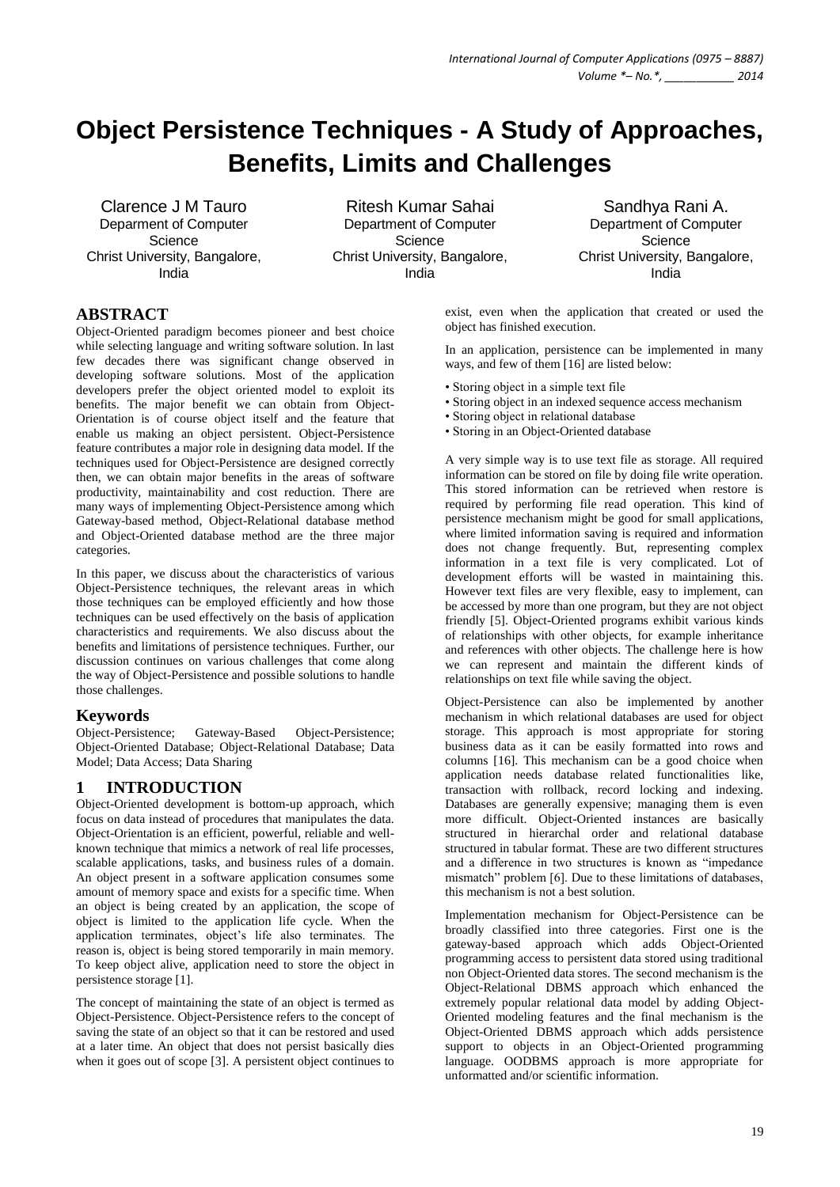# **Object Persistence Techniques - A Study of Approaches, Benefits, Limits and Challenges**

Clarence J M Tauro Deparment of Computer **Science** Christ University, Bangalore, India

Ritesh Kumar Sahai Department of Computer **Science** Christ University, Bangalore, India

Sandhya Rani A. Department of Computer **Science** Christ University, Bangalore, India

## **ABSTRACT**

Object-Oriented paradigm becomes pioneer and best choice while selecting language and writing software solution. In last few decades there was significant change observed in developing software solutions. Most of the application developers prefer the object oriented model to exploit its benefits. The major benefit we can obtain from Object-Orientation is of course object itself and the feature that enable us making an object persistent. Object-Persistence feature contributes a major role in designing data model. If the techniques used for Object-Persistence are designed correctly then, we can obtain major benefits in the areas of software productivity, maintainability and cost reduction. There are many ways of implementing Object-Persistence among which Gateway-based method, Object-Relational database method and Object-Oriented database method are the three major categories.

In this paper, we discuss about the characteristics of various Object-Persistence techniques, the relevant areas in which those techniques can be employed efficiently and how those techniques can be used effectively on the basis of application characteristics and requirements. We also discuss about the benefits and limitations of persistence techniques. Further, our discussion continues on various challenges that come along the way of Object-Persistence and possible solutions to handle those challenges.

#### **Keywords**

Object-Persistence; Gateway-Based Object-Persistence; Object-Oriented Database; Object-Relational Database; Data Model; Data Access; Data Sharing

## **1 INTRODUCTION**

Object-Oriented development is bottom-up approach, which focus on data instead of procedures that manipulates the data. Object-Orientation is an efficient, powerful, reliable and wellknown technique that mimics a network of real life processes, scalable applications, tasks, and business rules of a domain. An object present in a software application consumes some amount of memory space and exists for a specific time. When an object is being created by an application, the scope of object is limited to the application life cycle. When the application terminates, object's life also terminates. The reason is, object is being stored temporarily in main memory. To keep object alive, application need to store the object in persistence storage [1].

The concept of maintaining the state of an object is termed as Object-Persistence. Object-Persistence refers to the concept of saving the state of an object so that it can be restored and used at a later time. An object that does not persist basically dies when it goes out of scope [3]. A persistent object continues to

exist, even when the application that created or used the object has finished execution.

In an application, persistence can be implemented in many ways, and few of them [16] are listed below:

- Storing object in a simple text file
- Storing object in an indexed sequence access mechanism
- Storing object in relational database
- Storing in an Object-Oriented database

A very simple way is to use text file as storage. All required information can be stored on file by doing file write operation. This stored information can be retrieved when restore is required by performing file read operation. This kind of persistence mechanism might be good for small applications, where limited information saving is required and information does not change frequently. But, representing complex information in a text file is very complicated. Lot of development efforts will be wasted in maintaining this. However text files are very flexible, easy to implement, can be accessed by more than one program, but they are not object friendly [5]. Object-Oriented programs exhibit various kinds of relationships with other objects, for example inheritance and references with other objects. The challenge here is how we can represent and maintain the different kinds of relationships on text file while saving the object.

Object-Persistence can also be implemented by another mechanism in which relational databases are used for object storage. This approach is most appropriate for storing business data as it can be easily formatted into rows and columns [16]. This mechanism can be a good choice when application needs database related functionalities like, transaction with rollback, record locking and indexing. Databases are generally expensive; managing them is even more difficult. Object-Oriented instances are basically structured in hierarchal order and relational database structured in tabular format. These are two different structures and a difference in two structures is known as "impedance mismatch" problem [6]. Due to these limitations of databases, this mechanism is not a best solution.

Implementation mechanism for Object-Persistence can be broadly classified into three categories. First one is the gateway-based approach which adds Object-Oriented programming access to persistent data stored using traditional non Object-Oriented data stores. The second mechanism is the Object-Relational DBMS approach which enhanced the extremely popular relational data model by adding Object-Oriented modeling features and the final mechanism is the Object-Oriented DBMS approach which adds persistence support to objects in an Object-Oriented programming language. OODBMS approach is more appropriate for unformatted and/or scientific information.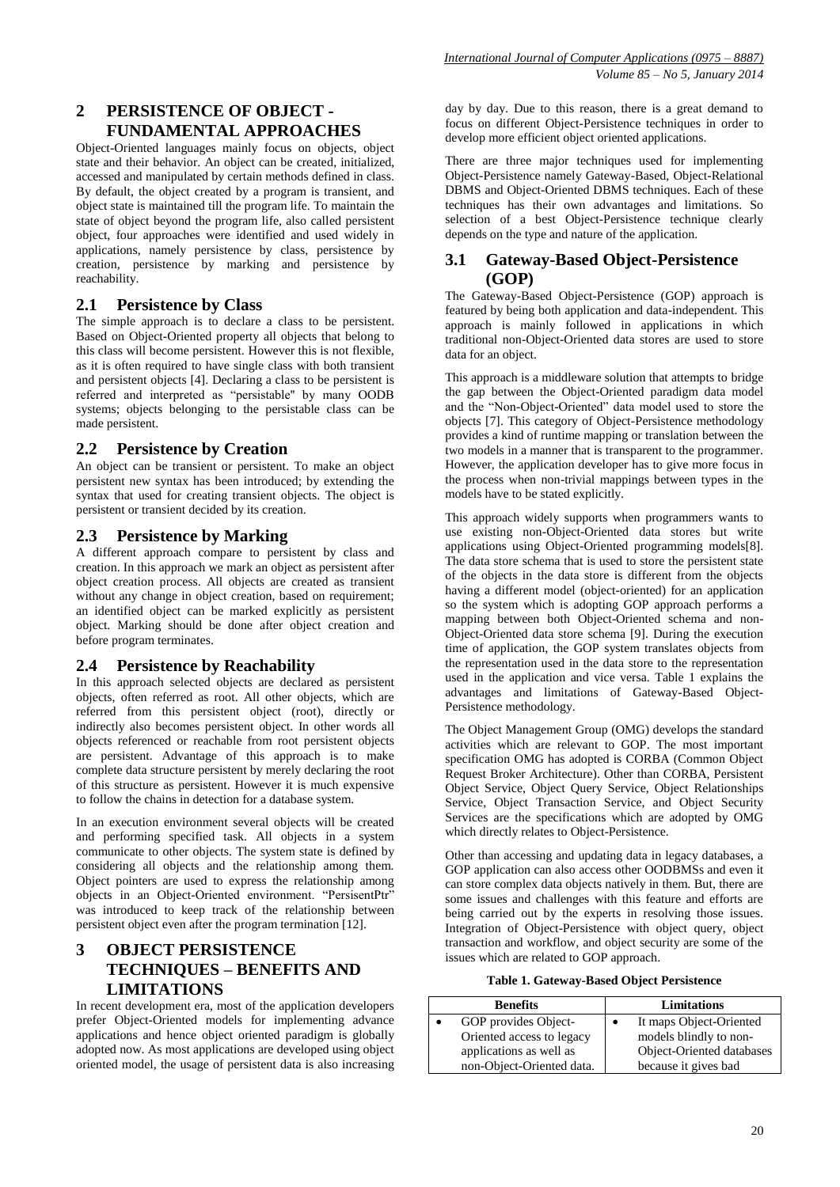# **2 PERSISTENCE OF OBJECT - FUNDAMENTAL APPROACHES**

Object-Oriented languages mainly focus on objects, object state and their behavior. An object can be created, initialized, accessed and manipulated by certain methods defined in class. By default, the object created by a program is transient, and object state is maintained till the program life. To maintain the state of object beyond the program life, also called persistent object, four approaches were identified and used widely in applications, namely persistence by class, persistence by creation, persistence by marking and persistence by reachability.

## **2.1 Persistence by Class**

The simple approach is to declare a class to be persistent. Based on Object-Oriented property all objects that belong to this class will become persistent. However this is not flexible, as it is often required to have single class with both transient and persistent objects [4]. Declaring a class to be persistent is referred and interpreted as "persistable'' by many OODB systems; objects belonging to the persistable class can be made persistent.

## **2.2 Persistence by Creation**

An object can be transient or persistent. To make an object persistent new syntax has been introduced; by extending the syntax that used for creating transient objects. The object is persistent or transient decided by its creation.

# **2.3 Persistence by Marking**

A different approach compare to persistent by class and creation. In this approach we mark an object as persistent after object creation process. All objects are created as transient without any change in object creation, based on requirement; an identified object can be marked explicitly as persistent object. Marking should be done after object creation and before program terminates.

# **2.4 Persistence by Reachability**

In this approach selected objects are declared as persistent objects, often referred as root. All other objects, which are referred from this persistent object (root), directly or indirectly also becomes persistent object. In other words all objects referenced or reachable from root persistent objects are persistent. Advantage of this approach is to make complete data structure persistent by merely declaring the root of this structure as persistent. However it is much expensive to follow the chains in detection for a database system.

In an execution environment several objects will be created and performing specified task. All objects in a system communicate to other objects. The system state is defined by considering all objects and the relationship among them. Object pointers are used to express the relationship among objects in an Object-Oriented environment. "PersisentPtr" was introduced to keep track of the relationship between persistent object even after the program termination [12].

# **3 OBJECT PERSISTENCE TECHNIQUES – BENEFITS AND LIMITATIONS**

In recent development era, most of the application developers prefer Object-Oriented models for implementing advance applications and hence object oriented paradigm is globally adopted now. As most applications are developed using object oriented model, the usage of persistent data is also increasing

day by day. Due to this reason, there is a great demand to focus on different Object-Persistence techniques in order to develop more efficient object oriented applications.

There are three major techniques used for implementing Object-Persistence namely Gateway-Based, Object-Relational DBMS and Object-Oriented DBMS techniques. Each of these techniques has their own advantages and limitations. So selection of a best Object-Persistence technique clearly depends on the type and nature of the application.

## **3.1 Gateway-Based Object-Persistence (GOP)**

The Gateway-Based Object-Persistence (GOP) approach is featured by being both application and data-independent. This approach is mainly followed in applications in which traditional non-Object-Oriented data stores are used to store data for an object.

This approach is a middleware solution that attempts to bridge the gap between the Object-Oriented paradigm data model and the "Non-Object-Oriented" data model used to store the objects [7]. This category of Object-Persistence methodology provides a kind of runtime mapping or translation between the two models in a manner that is transparent to the programmer. However, the application developer has to give more focus in the process when non-trivial mappings between types in the models have to be stated explicitly.

This approach widely supports when programmers wants to use existing non-Object-Oriented data stores but write applications using Object-Oriented programming models[8]. The data store schema that is used to store the persistent state of the objects in the data store is different from the objects having a different model (object-oriented) for an application so the system which is adopting GOP approach performs a mapping between both Object-Oriented schema and non-Object-Oriented data store schema [9]. During the execution time of application, the GOP system translates objects from the representation used in the data store to the representation used in the application and vice versa. Table 1 explains the advantages and limitations of Gateway-Based Object-Persistence methodology.

The Object Management Group (OMG) develops the standard activities which are relevant to GOP. The most important specification OMG has adopted is CORBA (Common Object Request Broker Architecture). Other than CORBA, Persistent Object Service, Object Query Service, Object Relationships Service, Object Transaction Service, and Object Security Services are the specifications which are adopted by OMG which directly relates to Object-Persistence.

Other than accessing and updating data in legacy databases, a GOP application can also access other OODBMSs and even it can store complex data objects natively in them. But, there are some issues and challenges with this feature and efforts are being carried out by the experts in resolving those issues. Integration of Object-Persistence with object query, object transaction and workflow, and object security are some of the issues which are related to GOP approach.

**Table 1. Gateway-Based Object Persistence**

| <b>Benefits</b> |                           |  | Limitations               |  |  |
|-----------------|---------------------------|--|---------------------------|--|--|
|                 | GOP provides Object-      |  | It maps Object-Oriented   |  |  |
|                 | Oriented access to legacy |  | models blindly to non-    |  |  |
|                 | applications as well as   |  | Object-Oriented databases |  |  |
|                 | non-Object-Oriented data. |  | because it gives bad      |  |  |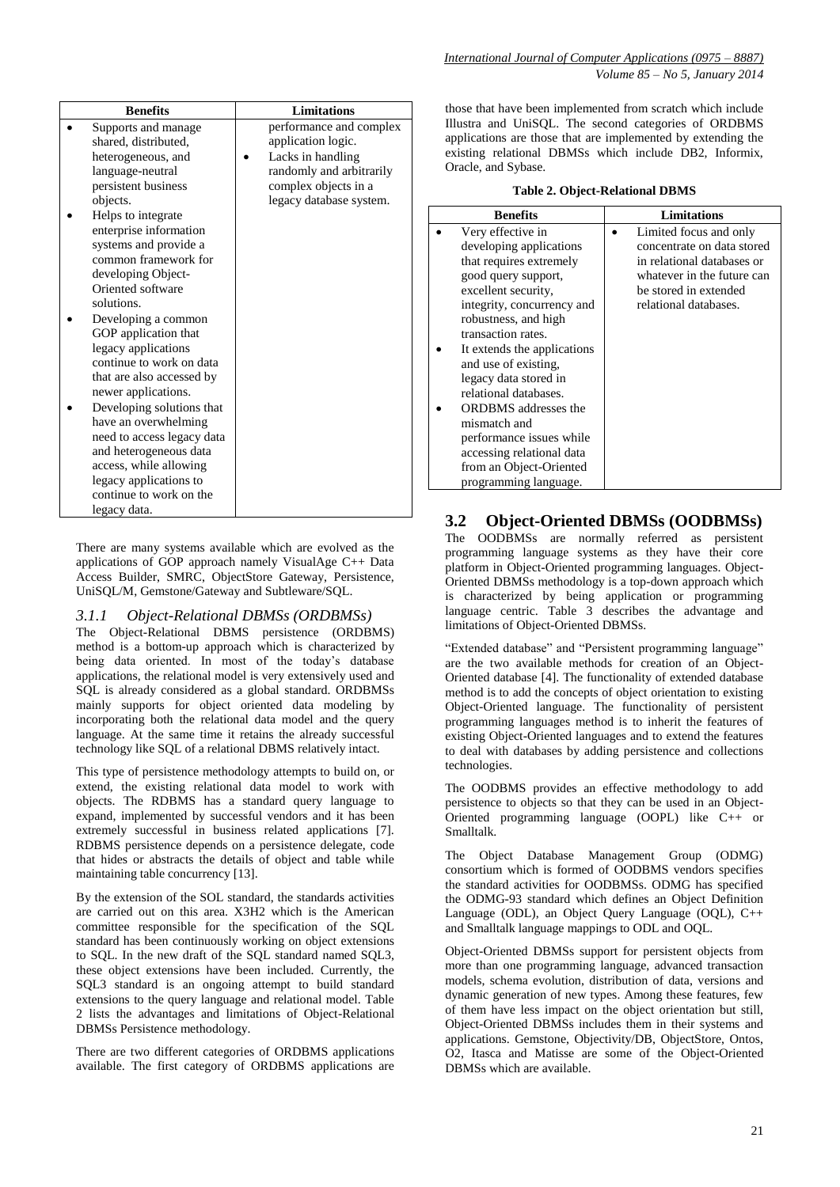| <b>Benefits</b>            | <b>Limitations</b>       |
|----------------------------|--------------------------|
| Supports and manage        | performance and complex  |
| shared, distributed,       | application logic.       |
| heterogeneous, and         | Lacks in handling        |
| language-neutral           | randomly and arbitrarily |
| persistent business        | complex objects in a     |
| objects.                   | legacy database system.  |
| Helps to integrate         |                          |
| enterprise information     |                          |
| systems and provide a      |                          |
| common framework for       |                          |
| developing Object-         |                          |
| Oriented software          |                          |
| solutions.                 |                          |
| Developing a common        |                          |
| GOP application that       |                          |
| legacy applications        |                          |
| continue to work on data   |                          |
| that are also accessed by  |                          |
| newer applications.        |                          |
| Developing solutions that  |                          |
| have an overwhelming       |                          |
| need to access legacy data |                          |
| and heterogeneous data     |                          |
| access, while allowing     |                          |
| legacy applications to     |                          |
| continue to work on the    |                          |
| legacy data.               |                          |

There are many systems available which are evolved as the applications of GOP approach namely VisualAge C++ Data Access Builder, SMRC, ObjectStore Gateway, Persistence, UniSQL/M, Gemstone/Gateway and Subtleware/SQL.

#### *3.1.1 Object-Relational DBMSs (ORDBMSs)*

The Object-Relational DBMS persistence (ORDBMS) method is a bottom-up approach which is characterized by being data oriented. In most of the today's database applications, the relational model is very extensively used and SQL is already considered as a global standard. ORDBMSs mainly supports for object oriented data modeling by incorporating both the relational data model and the query language. At the same time it retains the already successful technology like SQL of a relational DBMS relatively intact.

This type of persistence methodology attempts to build on, or extend, the existing relational data model to work with objects. The RDBMS has a standard query language to expand, implemented by successful vendors and it has been extremely successful in business related applications [7]. RDBMS persistence depends on a persistence delegate, code that hides or abstracts the details of object and table while maintaining table concurrency [13].

By the extension of the SOL standard, the standards activities are carried out on this area. X3H2 which is the American committee responsible for the specification of the SQL standard has been continuously working on object extensions to SQL. In the new draft of the SQL standard named SQL3, these object extensions have been included. Currently, the SQL3 standard is an ongoing attempt to build standard extensions to the query language and relational model. Table 2 lists the advantages and limitations of Object-Relational DBMSs Persistence methodology.

There are two different categories of ORDBMS applications available. The first category of ORDBMS applications are

those that have been implemented from scratch which include Illustra and UniSQL. The second categories of ORDBMS applications are those that are implemented by extending the existing relational DBMSs which include DB2, Informix, Oracle, and Sybase.

| <b>Table 2. Object-Relational DBMS</b> |  |
|----------------------------------------|--|
|                                        |  |

| <b>Benefits</b>                                                                                                                                                                                                                          | <b>Limitations</b>                                                                                                                                                 |
|------------------------------------------------------------------------------------------------------------------------------------------------------------------------------------------------------------------------------------------|--------------------------------------------------------------------------------------------------------------------------------------------------------------------|
| Very effective in<br>developing applications<br>that requires extremely<br>good query support,<br>excellent security,<br>integrity, concurrency and<br>robustness, and high<br>transaction rates.                                        | Limited focus and only<br>concentrate on data stored<br>in relational databases or<br>whatever in the future can<br>be stored in extended<br>relational databases. |
| It extends the applications<br>and use of existing,<br>legacy data stored in<br>relational databases.<br><b>ORDBMS</b> addresses the<br>mismatch and<br>performance issues while<br>accessing relational data<br>from an Object-Oriented |                                                                                                                                                                    |
| programming language.                                                                                                                                                                                                                    |                                                                                                                                                                    |

## **3.2 Object-Oriented DBMSs (OODBMSs)**

The OODBMSs are normally referred as persistent programming language systems as they have their core platform in Object-Oriented programming languages. Object-Oriented DBMSs methodology is a top-down approach which is characterized by being application or programming language centric. Table 3 describes the advantage and limitations of Object-Oriented DBMSs.

"Extended database" and "Persistent programming language" are the two available methods for creation of an Object-Oriented database [4]. The functionality of extended database method is to add the concepts of object orientation to existing Object-Oriented language. The functionality of persistent programming languages method is to inherit the features of existing Object-Oriented languages and to extend the features to deal with databases by adding persistence and collections technologies.

The OODBMS provides an effective methodology to add persistence to objects so that they can be used in an Object-Oriented programming language (OOPL) like C++ or Smalltalk.

The Object Database Management Group (ODMG) consortium which is formed of OODBMS vendors specifies the standard activities for OODBMSs. ODMG has specified the ODMG-93 standard which defines an Object Definition Language (ODL), an Object Query Language (OQL), C++ and Smalltalk language mappings to ODL and OQL.

Object-Oriented DBMSs support for persistent objects from more than one programming language, advanced transaction models, schema evolution, distribution of data, versions and dynamic generation of new types. Among these features, few of them have less impact on the object orientation but still, Object-Oriented DBMSs includes them in their systems and applications. Gemstone, Objectivity/DB, ObjectStore, Ontos, O2, Itasca and Matisse are some of the Object-Oriented DBMSs which are available.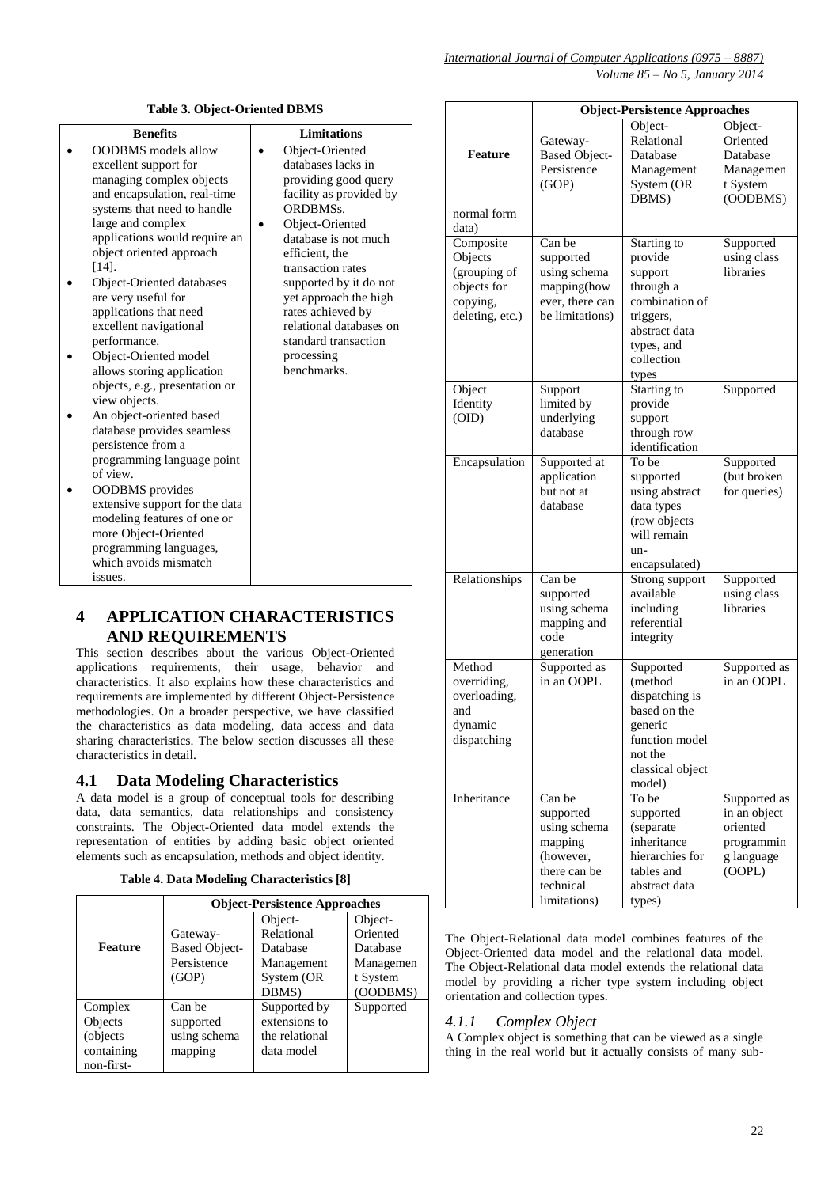*Volume 85 – No 5, January 2014*

#### **Table 3. Object-Oriented DBMS**

| <b>Benefits</b>                | <b>Limitations</b>      |
|--------------------------------|-------------------------|
| <b>OODBMS</b> models allow     | Object-Oriented         |
| excellent support for          | databases lacks in      |
| managing complex objects       | providing good query    |
| and encapsulation, real-time   | facility as provided by |
| systems that need to handle    | <b>ORDBMSs.</b>         |
| large and complex              | Object-Oriented         |
| applications would require an  | database is not much    |
| object oriented approach       | efficient, the          |
| $[14]$ .                       | transaction rates       |
| Object-Oriented databases      | supported by it do not  |
| are very useful for            | yet approach the high   |
| applications that need         | rates achieved by       |
| excellent navigational         | relational databases on |
| performance.                   | standard transaction    |
| Object-Oriented model          | processing              |
| allows storing application     | benchmarks.             |
| objects, e.g., presentation or |                         |
| view objects.                  |                         |
| An object-oriented based       |                         |
| database provides seamless     |                         |
| persistence from a             |                         |
| programming language point     |                         |
| of view.                       |                         |
| <b>OODBMS</b> provides         |                         |
| extensive support for the data |                         |
| modeling features of one or    |                         |
| more Object-Oriented           |                         |
| programming languages,         |                         |
| which avoids mismatch          |                         |
| issues.                        |                         |

## **4 APPLICATION CHARACTERISTICS AND REQUIREMENTS**

This section describes about the various Object-Oriented applications requirements, their usage, behavior and characteristics. It also explains how these characteristics and requirements are implemented by different Object-Persistence methodologies. On a broader perspective, we have classified the characteristics as data modeling, data access and data sharing characteristics. The below section discusses all these characteristics in detail.

## **4.1 Data Modeling Characteristics**

A data model is a group of conceptual tools for describing data, data semantics, data relationships and consistency constraints. The Object-Oriented data model extends the representation of entities by adding basic object oriented elements such as encapsulation, methods and object identity.

|  |  |  | <b>Table 4. Data Modeling Characteristics [8]</b> |  |
|--|--|--|---------------------------------------------------|--|
|--|--|--|---------------------------------------------------|--|

|                | <b>Object-Persistence Approaches</b> |                |           |  |  |
|----------------|--------------------------------------|----------------|-----------|--|--|
|                |                                      | Object-        | Object-   |  |  |
|                | Gateway-                             | Relational     | Oriented  |  |  |
| <b>Feature</b> | <b>Based Object-</b>                 | Database       | Database  |  |  |
|                | Persistence                          | Management     | Managemen |  |  |
|                | (GOP)                                | System (OR     | t System  |  |  |
|                |                                      | DBMS)          | (OODBMS)  |  |  |
| Complex        | Can be                               | Supported by   | Supported |  |  |
| Objects        | supported                            | extensions to  |           |  |  |
| (objects)      | using schema                         | the relational |           |  |  |
| containing     | mapping                              | data model     |           |  |  |
| non-first-     |                                      |                |           |  |  |

|                 | <b>Object-Persistence Approaches</b> |                                 |              |  |  |
|-----------------|--------------------------------------|---------------------------------|--------------|--|--|
|                 |                                      | Object-                         | Object-      |  |  |
|                 | Gateway-                             | Relational                      | Oriented     |  |  |
| <b>Feature</b>  | <b>Based Object-</b>                 | Database                        | Database     |  |  |
|                 | Persistence                          | Management                      | Managemen    |  |  |
|                 | (GOP)                                | System (OR                      | t System     |  |  |
|                 |                                      | DBMS)                           | (OODBMS)     |  |  |
| normal form     |                                      |                                 |              |  |  |
| data)           |                                      |                                 |              |  |  |
| Composite       | Can be                               | Starting to                     | Supported    |  |  |
| Objects         | supported                            | provide                         | using class  |  |  |
| (grouping of    | using schema                         | support                         | libraries    |  |  |
| objects for     |                                      | through a                       |              |  |  |
|                 | mapping(how<br>ever, there can       | combination of                  |              |  |  |
| copying,        |                                      |                                 |              |  |  |
| deleting, etc.) | be limitations)                      | triggers,                       |              |  |  |
|                 |                                      | abstract data                   |              |  |  |
|                 |                                      | types, and                      |              |  |  |
|                 |                                      | collection                      |              |  |  |
|                 |                                      | types                           |              |  |  |
| Object          | Support                              | Starting to                     | Supported    |  |  |
| Identity        | limited by                           | provide                         |              |  |  |
| (OID)           | underlying<br>database               | support                         |              |  |  |
|                 |                                      | through row                     |              |  |  |
|                 |                                      | identification                  |              |  |  |
| Encapsulation   | Supported at                         | To be                           | Supported    |  |  |
|                 | application                          | supported                       | (but broken  |  |  |
|                 | but not at                           | using abstract                  | for queries) |  |  |
|                 | database                             | data types                      |              |  |  |
|                 |                                      | (row objects                    |              |  |  |
|                 |                                      | will remain                     |              |  |  |
|                 |                                      | un-                             |              |  |  |
| Relationships   | Can be                               | encapsulated)<br>Strong support | Supported    |  |  |
|                 | supported                            | available                       | using class  |  |  |
|                 | using schema                         | including                       | libraries    |  |  |
|                 | mapping and                          | referential                     |              |  |  |
|                 | code                                 | integrity                       |              |  |  |
|                 | generation                           |                                 |              |  |  |
| Method          | Supported as                         | Supported                       | Supported as |  |  |
| overriding,     | in an OOPL                           | (method                         | in an OOPL   |  |  |
| overloading,    |                                      | dispatching is                  |              |  |  |
| and             |                                      | based on the                    |              |  |  |
| dynamic         |                                      | generic                         |              |  |  |
| dispatching     |                                      | function model                  |              |  |  |
|                 |                                      | not the                         |              |  |  |
|                 |                                      | classical object                |              |  |  |
|                 |                                      | model)                          |              |  |  |
| Inheritance     | Can be                               | To be                           | Supported as |  |  |
|                 | supported                            | supported                       | in an object |  |  |
|                 | using schema                         | (separate                       | oriented     |  |  |
|                 | mapping                              | inheritance                     | programmin   |  |  |
|                 | (however,                            | hierarchies for                 | g language   |  |  |
|                 | there can be                         | tables and                      | (OOPL)       |  |  |
|                 | technical                            | abstract data                   |              |  |  |
|                 | limitations)                         | types)                          |              |  |  |

The Object-Relational data model combines features of the Object-Oriented data model and the relational data model. The Object-Relational data model extends the relational data model by providing a richer type system including object orientation and collection types.

#### *4.1.1 Complex Object*

A Complex object is something that can be viewed as a single thing in the real world but it actually consists of many sub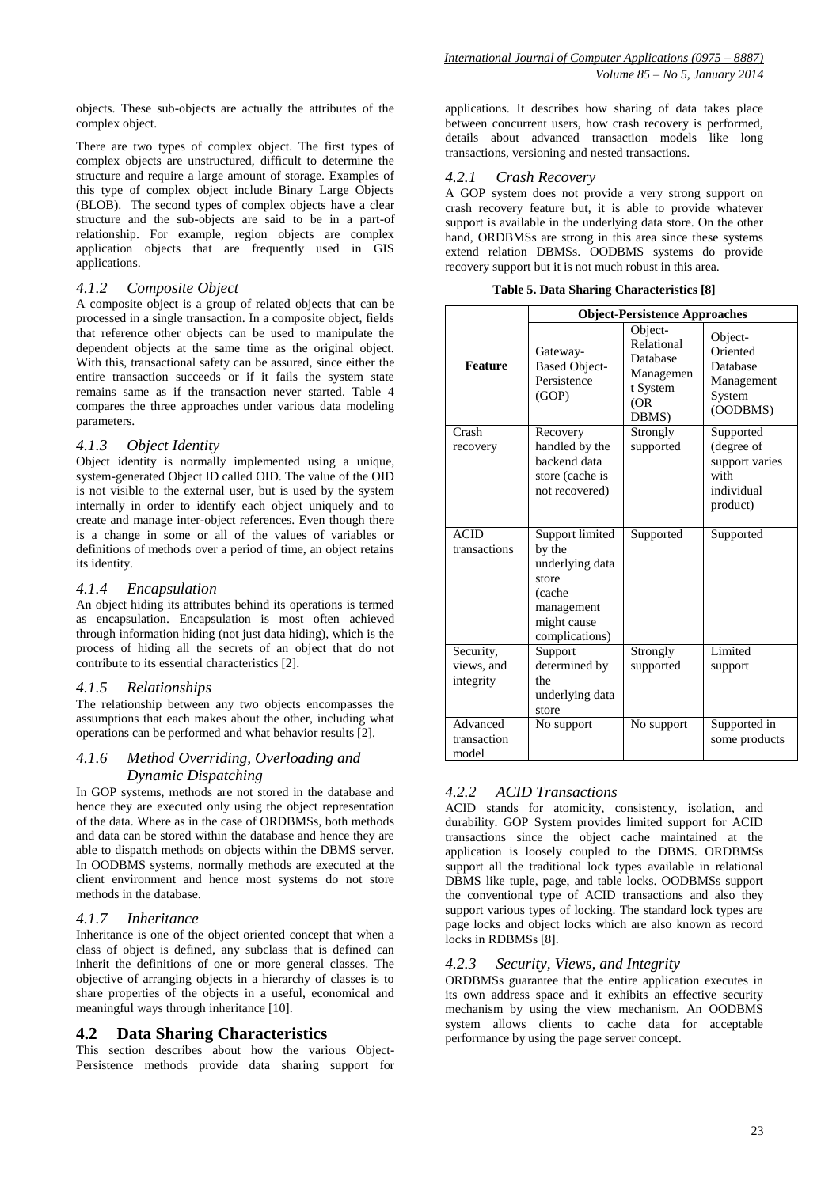objects. These sub-objects are actually the attributes of the complex object.

There are two types of complex object. The first types of complex objects are unstructured, difficult to determine the structure and require a large amount of storage. Examples of this type of complex object include Binary Large Objects (BLOB). The second types of complex objects have a clear structure and the sub-objects are said to be in a part-of relationship. For example, region objects are complex application objects that are frequently used in GIS applications.

#### *4.1.2 Composite Object*

A composite object is a group of related objects that can be processed in a single transaction. In a composite object, fields that reference other objects can be used to manipulate the dependent objects at the same time as the original object. With this, transactional safety can be assured, since either the entire transaction succeeds or if it fails the system state remains same as if the transaction never started. Table 4 compares the three approaches under various data modeling parameters.

#### *4.1.3 Object Identity*

Object identity is normally implemented using a unique, system-generated Object ID called OID. The value of the OID is not visible to the external user, but is used by the system internally in order to identify each object uniquely and to create and manage inter-object references. Even though there is a change in some or all of the values of variables or definitions of methods over a period of time, an object retains its identity.

#### *4.1.4 Encapsulation*

An object hiding its attributes behind its operations is termed as encapsulation. Encapsulation is most often achieved through information hiding (not just data hiding), which is the process of hiding all the secrets of an object that do not contribute to its essential characteristics [2].

#### *4.1.5 Relationships*

The relationship between any two objects encompasses the assumptions that each makes about the other, including what operations can be performed and what behavior results [2].

#### *4.1.6 Method Overriding, Overloading and Dynamic Dispatching*

In GOP systems, methods are not stored in the database and hence they are executed only using the object representation of the data. Where as in the case of ORDBMSs, both methods and data can be stored within the database and hence they are able to dispatch methods on objects within the DBMS server. In OODBMS systems, normally methods are executed at the client environment and hence most systems do not store methods in the database.

## *4.1.7 Inheritance*

Inheritance is one of the object oriented concept that when a class of object is defined, any subclass that is defined can inherit the definitions of one or more general classes. The objective of arranging objects in a hierarchy of classes is to share properties of the objects in a useful, economical and meaningful ways through inheritance [10].

## **4.2 Data Sharing Characteristics**

This section describes about how the various Object-Persistence methods provide data sharing support for applications. It describes how sharing of data takes place between concurrent users, how crash recovery is performed, details about advanced transaction models like long transactions, versioning and nested transactions.

#### *4.2.1 Crash Recovery*

A GOP system does not provide a very strong support on crash recovery feature but, it is able to provide whatever support is available in the underlying data store. On the other hand, ORDBMSs are strong in this area since these systems extend relation DBMSs. OODBMS systems do provide recovery support but it is not much robust in this area.

**Table 5. Data Sharing Characteristics [8]**

|                                      | <b>Object-Persistence Approaches</b>                                                                                                    |                       |                                                                             |  |  |  |
|--------------------------------------|-----------------------------------------------------------------------------------------------------------------------------------------|-----------------------|-----------------------------------------------------------------------------|--|--|--|
| Feature                              | Object-<br>Relational<br>Gateway-<br>Database<br><b>Based Object-</b><br>Managemen<br>Persistence<br>t System<br>(GOP)<br>(OR)<br>DBMS) |                       | Object-<br>Oriented<br>Database<br>Management<br>System<br>(OODBMS)         |  |  |  |
| Crash<br>recovery                    | Recovery<br>handled by the<br>backend data<br>store (cache is<br>not recovered)                                                         | Strongly<br>supported | Supported<br>(degree of<br>support varies<br>with<br>individual<br>product) |  |  |  |
| <b>ACID</b><br>transactions          | Support limited<br>by the<br>underlying data<br>store<br>(cache<br>management<br>might cause<br>complications)                          | Supported             | Supported                                                                   |  |  |  |
| Security,<br>views, and<br>integrity | Support<br>determined by<br>the<br>underlying data<br>store                                                                             | Strongly<br>supported | Limited<br>support                                                          |  |  |  |
| Advanced<br>transaction<br>model     | No support                                                                                                                              | No support            | Supported in<br>some products                                               |  |  |  |

## *4.2.2 ACID Transactions*

ACID stands for atomicity, consistency, isolation, and durability. GOP System provides limited support for ACID transactions since the object cache maintained at the application is loosely coupled to the DBMS. ORDBMSs support all the traditional lock types available in relational DBMS like tuple, page, and table locks. OODBMSs support the conventional type of ACID transactions and also they support various types of locking. The standard lock types are page locks and object locks which are also known as record locks in RDBMSs [8].

#### *4.2.3 Security, Views, and Integrity*

ORDBMSs guarantee that the entire application executes in its own address space and it exhibits an effective security mechanism by using the view mechanism. An OODBMS system allows clients to cache data for acceptable performance by using the page server concept.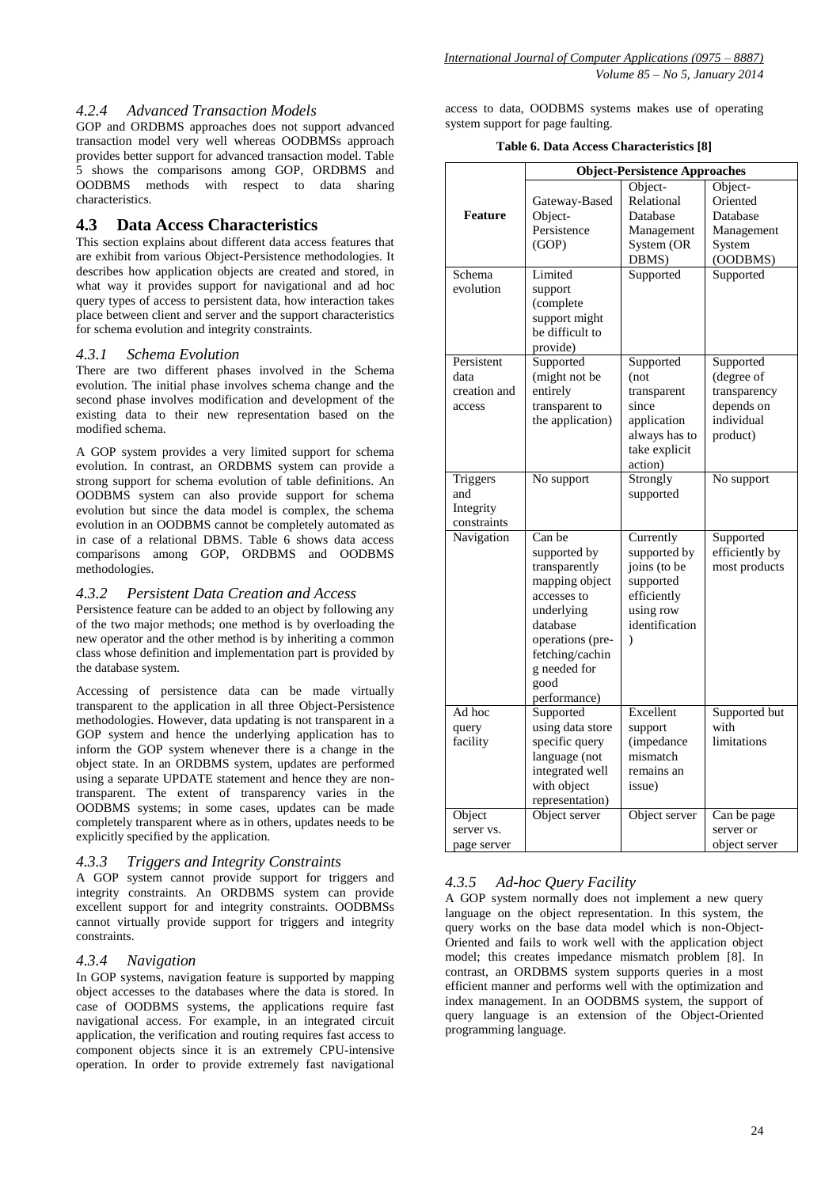#### *4.2.4 Advanced Transaction Models*

GOP and ORDBMS approaches does not support advanced transaction model very well whereas OODBMSs approach provides better support for advanced transaction model. Table 5 shows the comparisons among GOP, ORDBMS and OODBMS methods with respect to data sharing characteristics.

## **4.3 Data Access Characteristics**

This section explains about different data access features that are exhibit from various Object-Persistence methodologies. It describes how application objects are created and stored, in what way it provides support for navigational and ad hoc query types of access to persistent data, how interaction takes place between client and server and the support characteristics for schema evolution and integrity constraints.

#### *4.3.1 Schema Evolution*

There are two different phases involved in the Schema evolution. The initial phase involves schema change and the second phase involves modification and development of the existing data to their new representation based on the modified schema.

A GOP system provides a very limited support for schema evolution. In contrast, an ORDBMS system can provide a strong support for schema evolution of table definitions. An OODBMS system can also provide support for schema evolution but since the data model is complex, the schema evolution in an OODBMS cannot be completely automated as in case of a relational DBMS. Table  $6$  shows data access comparisons among GOP, ORDBMS and OODBMS methodologies.

#### *4.3.2 Persistent Data Creation and Access*

Persistence feature can be added to an object by following any of the two major methods; one method is by overloading the new operator and the other method is by inheriting a common class whose definition and implementation part is provided by the database system.

Accessing of persistence data can be made virtually transparent to the application in all three Object-Persistence methodologies. However, data updating is not transparent in a GOP system and hence the underlying application has to inform the GOP system whenever there is a change in the object state. In an ORDBMS system, updates are performed using a separate UPDATE statement and hence they are nontransparent. The extent of transparency varies in the OODBMS systems; in some cases, updates can be made completely transparent where as in others, updates needs to be explicitly specified by the application.

## *4.3.3 Triggers and Integrity Constraints*

A GOP system cannot provide support for triggers and integrity constraints. An ORDBMS system can provide excellent support for and integrity constraints. OODBMSs cannot virtually provide support for triggers and integrity constraints.

#### *4.3.4 Navigation*

In GOP systems, navigation feature is supported by mapping object accesses to the databases where the data is stored. In case of OODBMS systems, the applications require fast navigational access. For example, in an integrated circuit application, the verification and routing requires fast access to component objects since it is an extremely CPU-intensive operation. In order to provide extremely fast navigational

|  | access to data, OODBMS systems makes use of operating |  |  |  |
|--|-------------------------------------------------------|--|--|--|
|  | system support for page faulting.                     |  |  |  |

|  |  |  | Table 6. Data Access Characteristics [8] |  |
|--|--|--|------------------------------------------|--|
|--|--|--|------------------------------------------|--|

|                                              | <b>Object-Persistence Approaches</b>                                                                                                                                              |                                                                                                                       |                                                                                 |  |  |  |
|----------------------------------------------|-----------------------------------------------------------------------------------------------------------------------------------------------------------------------------------|-----------------------------------------------------------------------------------------------------------------------|---------------------------------------------------------------------------------|--|--|--|
| <b>Feature</b>                               | Gateway-Based<br>Object-<br>Persistence<br>(GOP)                                                                                                                                  | Object-<br>Relational<br>Database<br>Management<br>System (OR<br>DBMS)                                                | Object-<br>Oriented<br>Database<br>Management<br>System<br>(OODBMS)             |  |  |  |
| Schema<br>evolution                          | Limited<br>support<br>(complete<br>support might<br>be difficult to<br>provide)                                                                                                   | Supported                                                                                                             | Supported                                                                       |  |  |  |
| Persistent<br>data<br>creation and<br>access | Supported<br>(might not be<br>entirely<br>transparent to<br>the application)                                                                                                      | Supported<br>(not)<br>transparent<br>since<br>application<br>always has to<br>take explicit<br>action)                | Supported<br>(degree of<br>transparency<br>depends on<br>individual<br>product) |  |  |  |
| Triggers<br>and<br>Integrity<br>constraints  | No support                                                                                                                                                                        | Strongly<br>supported                                                                                                 | No support                                                                      |  |  |  |
| Navigation                                   | Can be<br>supported by<br>transparently<br>mapping object<br>accesses to<br>underlying<br>database<br>operations (pre-<br>fetching/cachin<br>g needed for<br>good<br>performance) | Currently<br>supported by<br>joins (to be<br>supported<br>efficiently<br>using row<br>identification<br>$\mathcal{L}$ | Supported<br>efficiently by<br>most products                                    |  |  |  |
| Ad hoc<br>query<br>facility                  | Supported<br>using data store<br>specific query<br>language (not<br>integrated well<br>with object<br>representation)                                                             | Excellent<br>support<br>(impedance<br>mismatch<br>remains an<br>issue)                                                | Supported but<br>with<br>limitations                                            |  |  |  |
| Object<br>server vs.<br>page server          | Object server                                                                                                                                                                     | Object server                                                                                                         | Can be page<br>server or<br>object server                                       |  |  |  |

# *4.3.5 Ad-hoc Query Facility*

A GOP system normally does not implement a new query language on the object representation. In this system, the query works on the base data model which is non-Object-Oriented and fails to work well with the application object model; this creates impedance mismatch problem [8]. In contrast, an ORDBMS system supports queries in a most efficient manner and performs well with the optimization and index management. In an OODBMS system, the support of query language is an extension of the Object-Oriented programming language.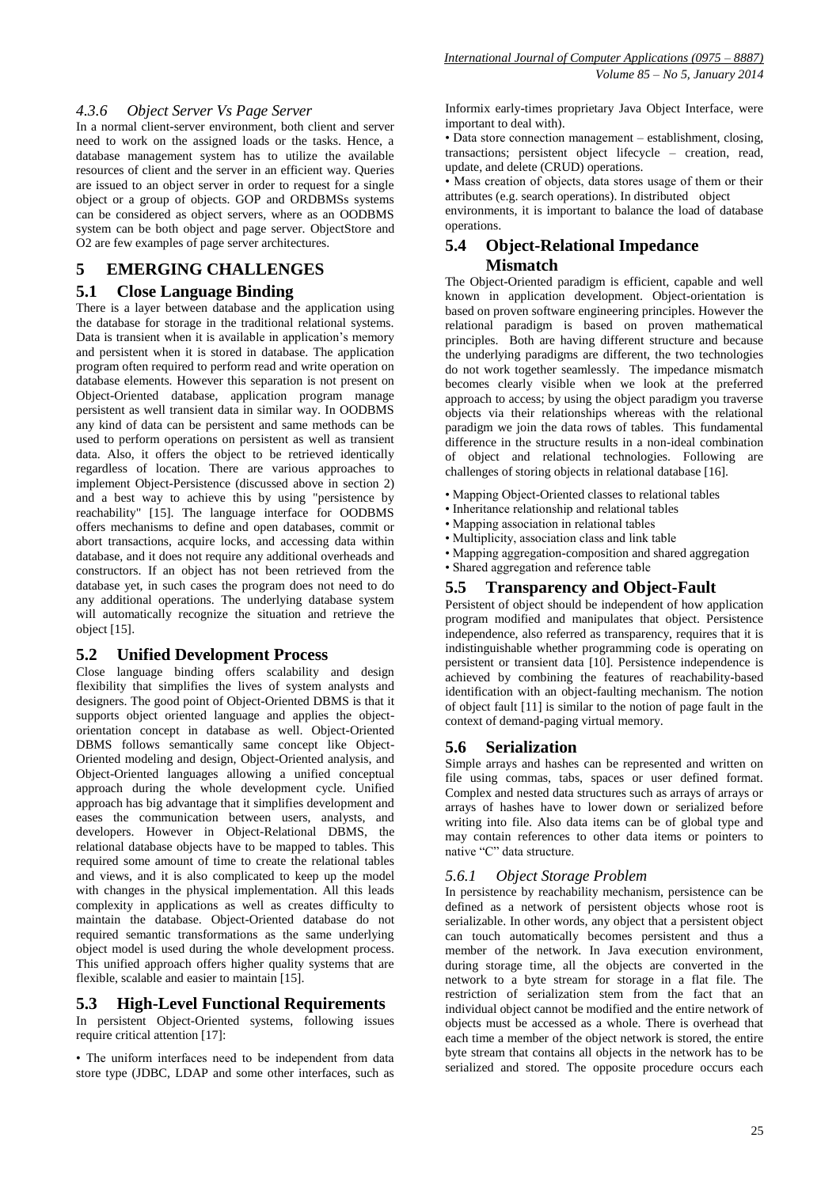#### *4.3.6 Object Server Vs Page Server*

In a normal client-server environment, both client and server need to work on the assigned loads or the tasks. Hence, a database management system has to utilize the available resources of client and the server in an efficient way. Queries are issued to an object server in order to request for a single object or a group of objects. GOP and ORDBMSs systems can be considered as object servers, where as an OODBMS system can be both object and page server. ObjectStore and O2 are few examples of page server architectures.

## **5 EMERGING CHALLENGES**

#### **5.1 Close Language Binding**

There is a layer between database and the application using the database for storage in the traditional relational systems. Data is transient when it is available in application's memory and persistent when it is stored in database. The application program often required to perform read and write operation on database elements. However this separation is not present on Object-Oriented database, application program manage persistent as well transient data in similar way. In OODBMS any kind of data can be persistent and same methods can be used to perform operations on persistent as well as transient data. Also, it offers the object to be retrieved identically regardless of location. There are various approaches to implement Object-Persistence (discussed above in section 2) and a best way to achieve this by using "persistence by reachability" [15]. The language interface for OODBMS offers mechanisms to define and open databases, commit or abort transactions, acquire locks, and accessing data within database, and it does not require any additional overheads and constructors. If an object has not been retrieved from the database yet, in such cases the program does not need to do any additional operations. The underlying database system will automatically recognize the situation and retrieve the object [15].

## **5.2 Unified Development Process**

Close language binding offers scalability and design flexibility that simplifies the lives of system analysts and designers. The good point of Object-Oriented DBMS is that it supports object oriented language and applies the objectorientation concept in database as well. Object-Oriented DBMS follows semantically same concept like Object-Oriented modeling and design, Object-Oriented analysis, and Object-Oriented languages allowing a unified conceptual approach during the whole development cycle. Unified approach has big advantage that it simplifies development and eases the communication between users, analysts, and developers. However in Object-Relational DBMS, the relational database objects have to be mapped to tables. This required some amount of time to create the relational tables and views, and it is also complicated to keep up the model with changes in the physical implementation. All this leads complexity in applications as well as creates difficulty to maintain the database. Object-Oriented database do not required semantic transformations as the same underlying object model is used during the whole development process. This unified approach offers higher quality systems that are flexible, scalable and easier to maintain [15].

#### **5.3 High-Level Functional Requirements**

In persistent Object-Oriented systems, following issues require critical attention [17]:

• The uniform interfaces need to be independent from data store type (JDBC, LDAP and some other interfaces, such as

Informix early-times proprietary Java Object Interface, were important to deal with).

• Data store connection management – establishment, closing, transactions; persistent object lifecycle – creation, read, update, and delete (CRUD) operations.

• Mass creation of objects, data stores usage of them or their attributes (e.g. search operations). In distributed object environments, it is important to balance the load of database operations.

## **5.4 Object-Relational Impedance Mismatch**

The Object-Oriented paradigm is efficient, capable and well known in application development. Object-orientation is based on proven software engineering principles. However the relational paradigm is based on proven mathematical principles. Both are having different structure and because the underlying paradigms are different, the two technologies do not work together seamlessly. The impedance mismatch becomes clearly visible when we look at the preferred approach to access; by using the object paradigm you traverse objects via their relationships whereas with the relational paradigm we join the data rows of tables. This fundamental difference in the structure results in a non-ideal combination of object and relational technologies. Following are challenges of storing objects in relational database [16].

- Mapping Object-Oriented classes to relational tables
- Inheritance relationship and relational tables
- Mapping association in relational tables
- Multiplicity, association class and link table
- Mapping aggregation-composition and shared aggregation
- Shared aggregation and reference table

### **5.5 Transparency and Object-Fault**

Persistent of object should be independent of how application program modified and manipulates that object. Persistence independence, also referred as transparency, requires that it is indistinguishable whether programming code is operating on persistent or transient data [10]. Persistence independence is achieved by combining the features of reachability-based identification with an object-faulting mechanism. The notion of object fault [11] is similar to the notion of page fault in the context of demand-paging virtual memory.

#### **5.6 Serialization**

Simple arrays and hashes can be represented and written on file using commas, tabs, spaces or user defined format. Complex and nested data structures such as arrays of arrays or arrays of hashes have to lower down or serialized before writing into file. Also data items can be of global type and may contain references to other data items or pointers to native "C" data structure.

#### *5.6.1 Object Storage Problem*

In persistence by reachability mechanism, persistence can be defined as a network of persistent objects whose root is serializable. In other words, any object that a persistent object can touch automatically becomes persistent and thus a member of the network. In Java execution environment, during storage time, all the objects are converted in the network to a byte stream for storage in a flat file. The restriction of serialization stem from the fact that an individual object cannot be modified and the entire network of objects must be accessed as a whole. There is overhead that each time a member of the object network is stored, the entire byte stream that contains all objects in the network has to be serialized and stored. The opposite procedure occurs each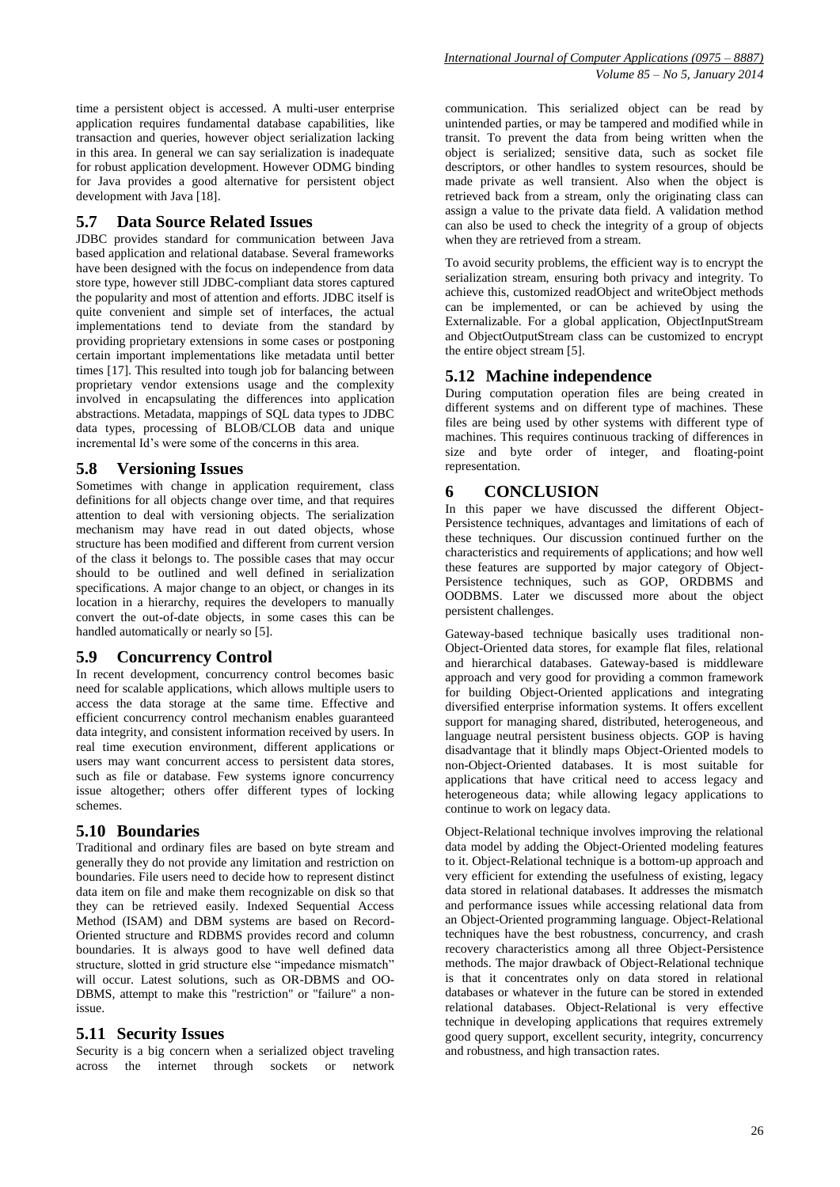time a persistent object is accessed. A multi-user enterprise application requires fundamental database capabilities, like transaction and queries, however object serialization lacking in this area. In general we can say serialization is inadequate for robust application development. However ODMG binding for Java provides a good alternative for persistent object development with Java [18].

#### **5.7 Data Source Related Issues**

JDBC provides standard for communication between Java based application and relational database. Several frameworks have been designed with the focus on independence from data store type, however still JDBC-compliant data stores captured the popularity and most of attention and efforts. JDBC itself is quite convenient and simple set of interfaces, the actual implementations tend to deviate from the standard by providing proprietary extensions in some cases or postponing certain important implementations like metadata until better times [17]. This resulted into tough job for balancing between proprietary vendor extensions usage and the complexity involved in encapsulating the differences into application abstractions. Metadata, mappings of SQL data types to JDBC data types, processing of BLOB/CLOB data and unique incremental Id's were some of the concerns in this area.

#### **5.8 Versioning Issues**

Sometimes with change in application requirement, class definitions for all objects change over time, and that requires attention to deal with versioning objects. The serialization mechanism may have read in out dated objects, whose structure has been modified and different from current version of the class it belongs to. The possible cases that may occur should to be outlined and well defined in serialization specifications. A major change to an object, or changes in its location in a hierarchy, requires the developers to manually convert the out-of-date objects, in some cases this can be handled automatically or nearly so [5].

#### **5.9 Concurrency Control**

In recent development, concurrency control becomes basic need for scalable applications, which allows multiple users to access the data storage at the same time. Effective and efficient concurrency control mechanism enables guaranteed data integrity, and consistent information received by users. In real time execution environment, different applications or users may want concurrent access to persistent data stores, such as file or database. Few systems ignore concurrency issue altogether; others offer different types of locking schemes.

#### **5.10 Boundaries**

Traditional and ordinary files are based on byte stream and generally they do not provide any limitation and restriction on boundaries. File users need to decide how to represent distinct data item on file and make them recognizable on disk so that they can be retrieved easily. Indexed Sequential Access Method (ISAM) and DBM systems are based on Record-Oriented structure and RDBMS provides record and column boundaries. It is always good to have well defined data structure, slotted in grid structure else "impedance mismatch" will occur. Latest solutions, such as OR-DBMS and OO-DBMS, attempt to make this "restriction" or "failure" a nonissue.

#### **5.11 Security Issues**

Security is a big concern when a serialized object traveling across the internet through sockets or network

communication. This serialized object can be read by unintended parties, or may be tampered and modified while in transit. To prevent the data from being written when the object is serialized; sensitive data, such as socket file descriptors, or other handles to system resources, should be made private as well transient. Also when the object is retrieved back from a stream, only the originating class can assign a value to the private data field. A validation method can also be used to check the integrity of a group of objects when they are retrieved from a stream.

To avoid security problems, the efficient way is to encrypt the serialization stream, ensuring both privacy and integrity. To achieve this, customized readObject and writeObject methods can be implemented, or can be achieved by using the Externalizable. For a global application, ObjectInputStream and ObjectOutputStream class can be customized to encrypt the entire object stream [5].

#### **5.12 Machine independence**

During computation operation files are being created in different systems and on different type of machines. These files are being used by other systems with different type of machines. This requires continuous tracking of differences in size and byte order of integer, and floating-point representation.

#### **6 CONCLUSION**

In this paper we have discussed the different Object-Persistence techniques, advantages and limitations of each of these techniques. Our discussion continued further on the characteristics and requirements of applications; and how well these features are supported by major category of Object-Persistence techniques, such as GOP, ORDBMS and OODBMS. Later we discussed more about the object persistent challenges.

Gateway-based technique basically uses traditional non-Object-Oriented data stores, for example flat files, relational and hierarchical databases. Gateway-based is middleware approach and very good for providing a common framework for building Object-Oriented applications and integrating diversified enterprise information systems. It offers excellent support for managing shared, distributed, heterogeneous, and language neutral persistent business objects. GOP is having disadvantage that it blindly maps Object-Oriented models to non-Object-Oriented databases. It is most suitable for applications that have critical need to access legacy and heterogeneous data; while allowing legacy applications to continue to work on legacy data.

Object-Relational technique involves improving the relational data model by adding the Object-Oriented modeling features to it. Object-Relational technique is a bottom-up approach and very efficient for extending the usefulness of existing, legacy data stored in relational databases. It addresses the mismatch and performance issues while accessing relational data from an Object-Oriented programming language. Object-Relational techniques have the best robustness, concurrency, and crash recovery characteristics among all three Object-Persistence methods. The major drawback of Object-Relational technique is that it concentrates only on data stored in relational databases or whatever in the future can be stored in extended relational databases. Object-Relational is very effective technique in developing applications that requires extremely good query support, excellent security, integrity, concurrency and robustness, and high transaction rates.